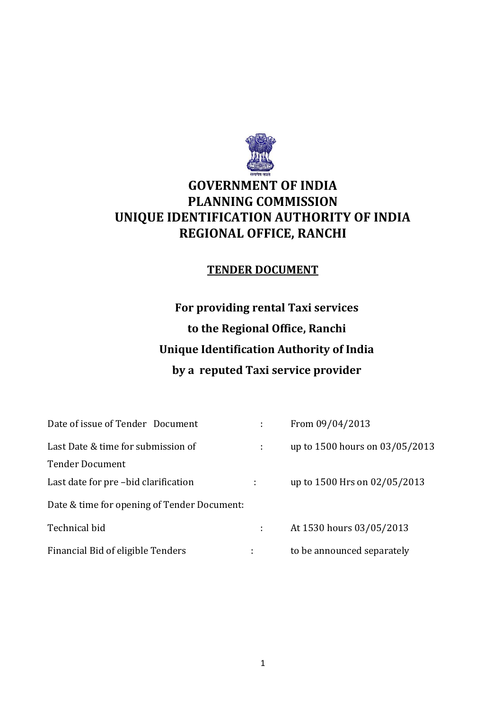

# **GOVERNMENT OF INDIA PLANNING COMMISSION UNIQUE IDENTIFICATION AUTHORITY OF INDIA REGIONAL OFFICE, RANCHI**

## **TENDER DOCUMENT**

# **For providing rental Taxi services to the Regional Office, Ranchi Unique Identification Authority of India by a reputed Taxi service provider**

| Date of issue of Tender Document            |   | From 09/04/2013                |
|---------------------------------------------|---|--------------------------------|
| Last Date & time for submission of          |   | up to 1500 hours on 03/05/2013 |
| <b>Tender Document</b>                      |   |                                |
| Last date for pre -bid clarification        |   | up to 1500 Hrs on 02/05/2013   |
| Date & time for opening of Tender Document: |   |                                |
| Technical bid                               | ÷ | At 1530 hours 03/05/2013       |
| Financial Bid of eligible Tenders           |   | to be announced separately     |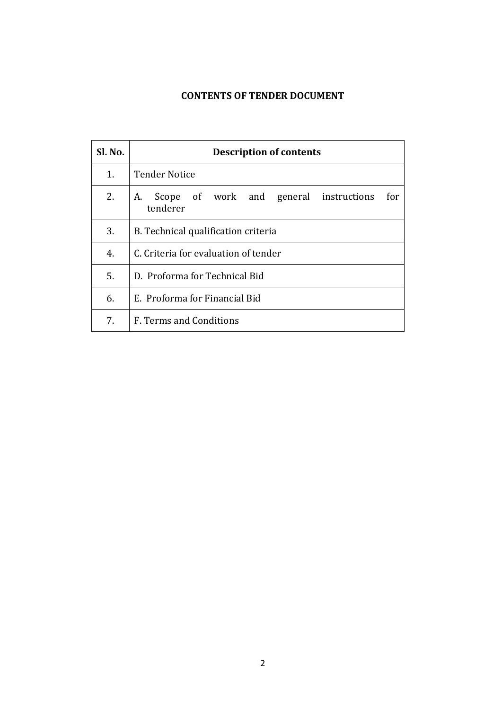#### **CONTENTS OF TENDER DOCUMENT**

| Sl. No. | <b>Description of contents</b>                                  |  |  |
|---------|-----------------------------------------------------------------|--|--|
| $1_{-}$ | <b>Tender Notice</b>                                            |  |  |
| 2.      | Scope of work and general instructions<br>for<br>A.<br>tenderer |  |  |
| 3.      | B. Technical qualification criteria                             |  |  |
| 4.      | C. Criteria for evaluation of tender                            |  |  |
| 5.      | D. Proforma for Technical Bid                                   |  |  |
| 6.      | E. Proforma for Financial Bid                                   |  |  |
| 7.      | F. Terms and Conditions                                         |  |  |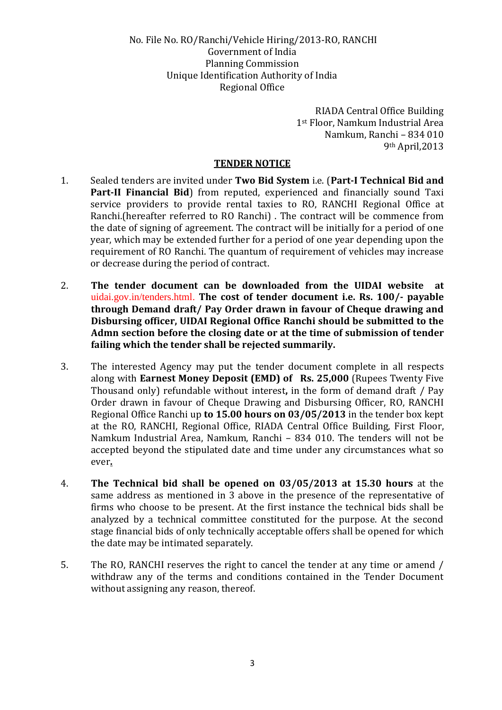No. File No. RO/Ranchi/Vehicle Hiring/2013-RO, RANCHI Government of India Planning Commission Unique Identification Authority of India Regional Office

> RIADA Central Office Building 1st Floor, Namkum Industrial Area Namkum, Ranchi – 834 010 9th April,2013

#### **TENDER NOTICE**

- 1. Sealed tenders are invited under **Two Bid System** i.e. (**Part-I Technical Bid and Part-II Financial Bid**) from reputed, experienced and financially sound Taxi service providers to provide rental taxies to RO, RANCHI Regional Office at Ranchi.(hereafter referred to RO Ranchi) . The contract will be commence from the date of signing of agreement. The contract will be initially for a period of one year, which may be extended further for a period of one year depending upon the requirement of RO Ranchi. The quantum of requirement of vehicles may increase or decrease during the period of contract.
- 2. **The tender document can be downloaded from the UIDAI website at**  uidai.gov.in/tenders.html. **The cost of tender document i.e. Rs. 100/- payable through Demand draft/ Pay Order drawn in favour of Cheque drawing and Disbursing officer, UIDAI Regional Office Ranchi should be submitted to the Admn section before the closing date or at the time of submission of tender failing which the tender shall be rejected summarily.**
- 3. The interested Agency may put the tender document complete in all respects along with **Earnest Money Deposit (EMD) of Rs. 25,000** (Rupees Twenty Five Thousand only) refundable without interest**,** in the form of demand draft / Pay Order drawn in favour of Cheque Drawing and Disbursing Officer, RO, RANCHI Regional Office Ranchi up **to 15.00 hours on 03/05/2013** in the tender box kept at the RO, RANCHI, Regional Office, RIADA Central Office Building, First Floor, Namkum Industrial Area, Namkum, Ranchi – 834 010. The tenders will not be accepted beyond the stipulated date and time under any circumstances what so ever**.**
- 4. **The Technical bid shall be opened on 03/05/2013 at 15.30 hours** at the same address as mentioned in 3 above in the presence of the representative of firms who choose to be present. At the first instance the technical bids shall be analyzed by a technical committee constituted for the purpose. At the second stage financial bids of only technically acceptable offers shall be opened for which the date may be intimated separately.
- 5. The RO, RANCHI reserves the right to cancel the tender at any time or amend / withdraw any of the terms and conditions contained in the Tender Document without assigning any reason, thereof.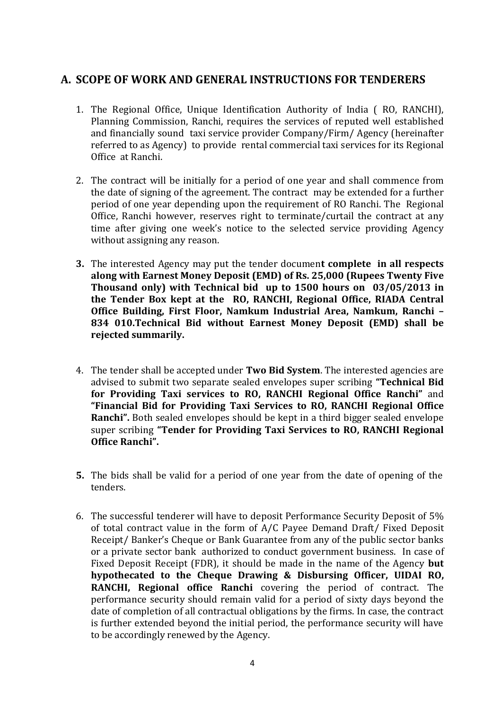#### **A. SCOPE OF WORK AND GENERAL INSTRUCTIONS FOR TENDERERS**

- 1. The Regional Office, Unique Identification Authority of India ( RO, RANCHI), Planning Commission, Ranchi, requires the services of reputed well established and financially sound taxi service provider Company/Firm/ Agency (hereinafter referred to as Agency) to provide rental commercial taxi services for its Regional Office at Ranchi.
- 2. The contract will be initially for a period of one year and shall commence from the date of signing of the agreement. The contract may be extended for a further period of one year depending upon the requirement of RO Ranchi. The Regional Office, Ranchi however, reserves right to terminate/curtail the contract at any time after giving one week's notice to the selected service providing Agency without assigning any reason.
- **3.** The interested Agency may put the tender documen**t complete in all respects along with Earnest Money Deposit (EMD) of Rs. 25,000 (Rupees Twenty Five Thousand only) with Technical bid up to 1500 hours on 03/05/2013 in the Tender Box kept at the RO, RANCHI, Regional Office, RIADA Central Office Building, First Floor, Namkum Industrial Area, Namkum, Ranchi – 834 010.Technical Bid without Earnest Money Deposit (EMD) shall be rejected summarily.**
- 4. The tender shall be accepted under **Two Bid System**. The interested agencies are advised to submit two separate sealed envelopes super scribing **"Technical Bid for Providing Taxi services to RO, RANCHI Regional Office Ranchi"** and **"Financial Bid for Providing Taxi Services to RO, RANCHI Regional Office Ranchi".** Both sealed envelopes should be kept in a third bigger sealed envelope super scribing **"Tender for Providing Taxi Services to RO, RANCHI Regional Office Ranchi".**
- **5.** The bids shall be valid for a period of one year from the date of opening of the tenders.
- 6. The successful tenderer will have to deposit Performance Security Deposit of 5% of total contract value in the form of A/C Payee Demand Draft/ Fixed Deposit Receipt/ Banker's Cheque or Bank Guarantee from any of the public sector banks or a private sector bank authorized to conduct government business. In case of Fixed Deposit Receipt (FDR), it should be made in the name of the Agency **but hypothecated to the Cheque Drawing & Disbursing Officer, UIDAI RO, RANCHI, Regional office Ranchi** covering the period of contract. The performance security should remain valid for a period of sixty days beyond the date of completion of all contractual obligations by the firms. In case, the contract is further extended beyond the initial period, the performance security will have to be accordingly renewed by the Agency.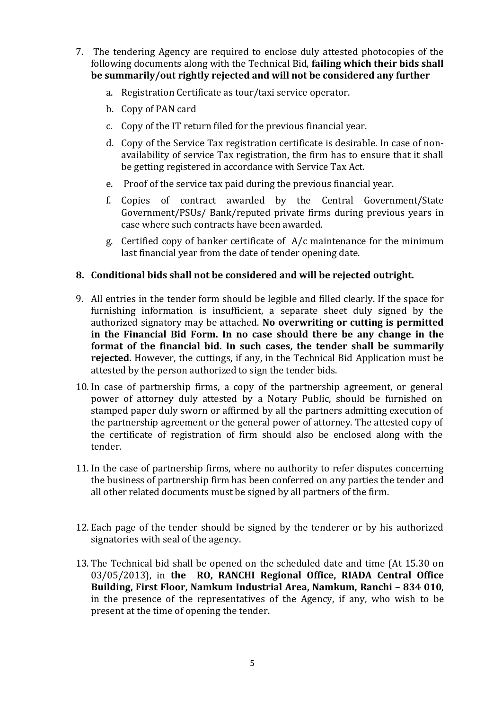- 7. The tendering Agency are required to enclose duly attested photocopies of the following documents along with the Technical Bid, **failing which their bids shall be summarily/out rightly rejected and will not be considered any further**
	- a. Registration Certificate as tour/taxi service operator.
	- b. Copy of PAN card
	- c. Copy of the IT return filed for the previous financial year.
	- d. Copy of the Service Tax registration certificate is desirable. In case of nonavailability of service Tax registration, the firm has to ensure that it shall be getting registered in accordance with Service Tax Act.
	- e. Proof of the service tax paid during the previous financial year.
	- f. Copies of contract awarded by the Central Government/State Government/PSUs/ Bank/reputed private firms during previous years in case where such contracts have been awarded.
	- g. Certified copy of banker certificate of A/c maintenance for the minimum last financial year from the date of tender opening date.

#### **8. Conditional bids shall not be considered and will be rejected outright.**

- 9. All entries in the tender form should be legible and filled clearly. If the space for furnishing information is insufficient, a separate sheet duly signed by the authorized signatory may be attached. **No overwriting or cutting is permitted in the Financial Bid Form. In no case should there be any change in the format of the financial bid. In such cases, the tender shall be summarily rejected.** However, the cuttings, if any, in the Technical Bid Application must be attested by the person authorized to sign the tender bids.
- 10. In case of partnership firms, a copy of the partnership agreement, or general power of attorney duly attested by a Notary Public, should be furnished on stamped paper duly sworn or affirmed by all the partners admitting execution of the partnership agreement or the general power of attorney. The attested copy of the certificate of registration of firm should also be enclosed along with the tender.
- 11. In the case of partnership firms, where no authority to refer disputes concerning the business of partnership firm has been conferred on any parties the tender and all other related documents must be signed by all partners of the firm.
- 12. Each page of the tender should be signed by the tenderer or by his authorized signatories with seal of the agency.
- 13. The Technical bid shall be opened on the scheduled date and time (At 15.30 on 03/05/2013), in **the RO, RANCHI Regional Office, RIADA Central Office Building, First Floor, Namkum Industrial Area, Namkum, Ranchi – 834 010**, in the presence of the representatives of the Agency, if any, who wish to be present at the time of opening the tender.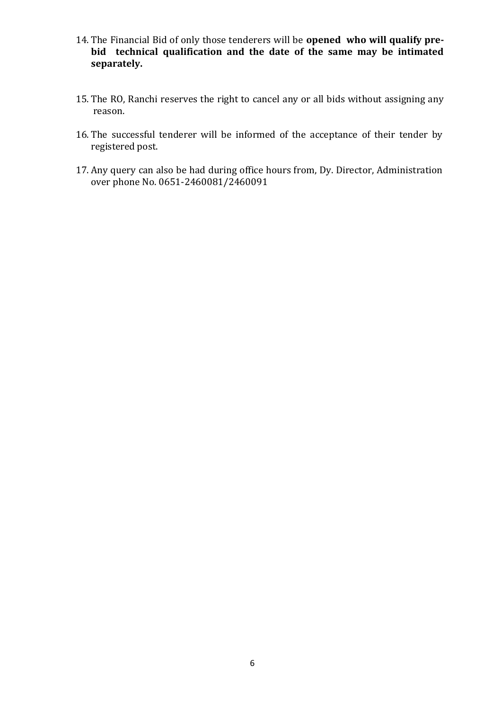- 14. The Financial Bid of only those tenderers will be **opened who will qualify prebid technical qualification and the date of the same may be intimated separately.**
- 15. The RO, Ranchi reserves the right to cancel any or all bids without assigning any reason.
- 16. The successful tenderer will be informed of the acceptance of their tender by registered post.
- 17. Any query can also be had during office hours from, Dy. Director, Administration over phone No. 0651-2460081/2460091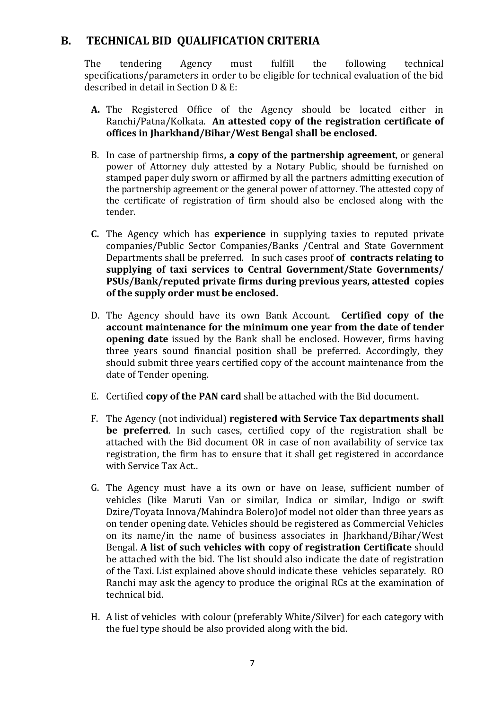## **B. TECHNICAL BID QUALIFICATION CRITERIA**

The tendering Agency must fulfill the following technical specifications/parameters in order to be eligible for technical evaluation of the bid described in detail in Section D & E:

- **A.** The Registered Office of the Agency should be located either in Ranchi/Patna/Kolkata. **An attested copy of the registration certificate of offices in Jharkhand/Bihar/West Bengal shall be enclosed.**
- B. In case of partnership firms**, a copy of the partnership agreement**, or general power of Attorney duly attested by a Notary Public, should be furnished on stamped paper duly sworn or affirmed by all the partners admitting execution of the partnership agreement or the general power of attorney. The attested copy of the certificate of registration of firm should also be enclosed along with the tender.
- **C.** The Agency which has **experience** in supplying taxies to reputed private companies/Public Sector Companies/Banks /Central and State Government Departments shall be preferred. In such cases proof **of contracts relating to supplying of taxi services to Central Government/State Governments/ PSUs/Bank/reputed private firms during previous years, attested copies of the supply order must be enclosed.**
- D. The Agency should have its own Bank Account. **Certified copy of the account maintenance for the minimum one year from the date of tender opening date** issued by the Bank shall be enclosed. However, firms having three years sound financial position shall be preferred. Accordingly, they should submit three years certified copy of the account maintenance from the date of Tender opening.
- E. Certified **copy of the PAN card** shall be attached with the Bid document.
- F. The Agency (not individual) **registered with Service Tax departments shall be preferred**. In such cases, certified copy of the registration shall be attached with the Bid document OR in case of non availability of service tax registration, the firm has to ensure that it shall get registered in accordance with Service Tax Act..
- G. The Agency must have a its own or have on lease, sufficient number of vehicles (like Maruti Van or similar, Indica or similar, Indigo or swift Dzire/Toyata Innova/Mahindra Bolero)of model not older than three years as on tender opening date. Vehicles should be registered as Commercial Vehicles on its name/in the name of business associates in Jharkhand/Bihar/West Bengal. **A list of such vehicles with copy of registration Certificate** should be attached with the bid. The list should also indicate the date of registration of the Taxi. List explained above should indicate these vehicles separately. RO Ranchi may ask the agency to produce the original RCs at the examination of technical bid.
- H. A list of vehicles with colour (preferably White/Silver) for each category with the fuel type should be also provided along with the bid.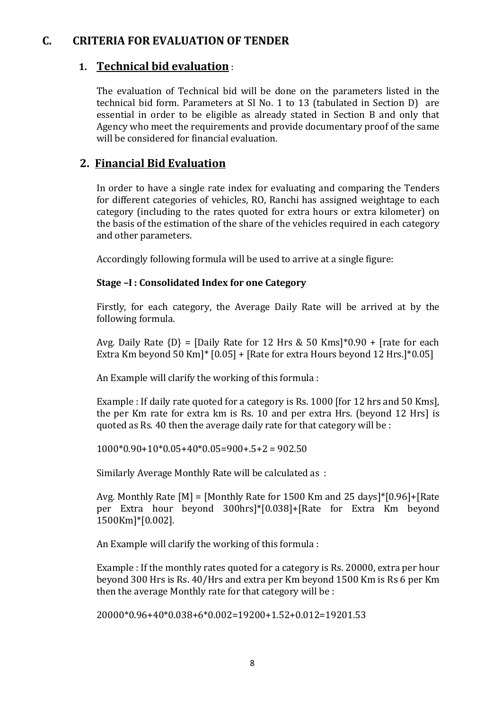## **C. CRITERIA FOR EVALUATION OF TENDER**

## **1. Technical bid evaluation** :

The evaluation of Technical bid will be done on the parameters listed in the technical bid form. Parameters at Sl No. 1 to 13 (tabulated in Section D) are essential in order to be eligible as already stated in Section B and only that Agency who meet the requirements and provide documentary proof of the same will be considered for financial evaluation.

## **2. Financial Bid Evaluation**

In order to have a single rate index for evaluating and comparing the Tenders for different categories of vehicles, RO, Ranchi has assigned weightage to each category (including to the rates quoted for extra hours or extra kilometer) on the basis of the estimation of the share of the vehicles required in each category and other parameters.

Accordingly following formula will be used to arrive at a single figure:

#### **Stage –I : Consolidated Index for one Category**

Firstly, for each category, the Average Daily Rate will be arrived at by the following formula.

Avg. Daily Rate  $\{D\}$  = [Daily Rate for 12 Hrs & 50 Kms]\*0.90 + [rate for each Extra Km beyond 50 Km]\* [0.05] + [Rate for extra Hours beyond 12 Hrs.]\*0.05]

An Example will clarify the working of this formula :

Example : If daily rate quoted for a category is Rs. 1000 [for 12 hrs and 50 Kms], the per Km rate for extra km is Rs. 10 and per extra Hrs. (beyond 12 Hrs] is quoted as Rs. 40 then the average daily rate for that category will be :

 $1000*0.90+10*0.05+40*0.05=900+.5+2=902.50$ 

Similarly Average Monthly Rate will be calculated as :

Avg. Monthly Rate [M] = [Monthly Rate for 1500 Km and 25 days]\*[0.96]+[Rate per Extra hour beyond 300hrs]\*[0.038]+[Rate for Extra Km beyond 1500Km]\*[0.002].

An Example will clarify the working of this formula :

Example : If the monthly rates quoted for a category is Rs. 20000, extra per hour beyond 300 Hrs is Rs. 40/Hrs and extra per Km beyond 1500 Km is Rs 6 per Km then the average Monthly rate for that category will be :

20000\*0.96+40\*0.038+6\*0.002=19200+1.52+0.012=19201.53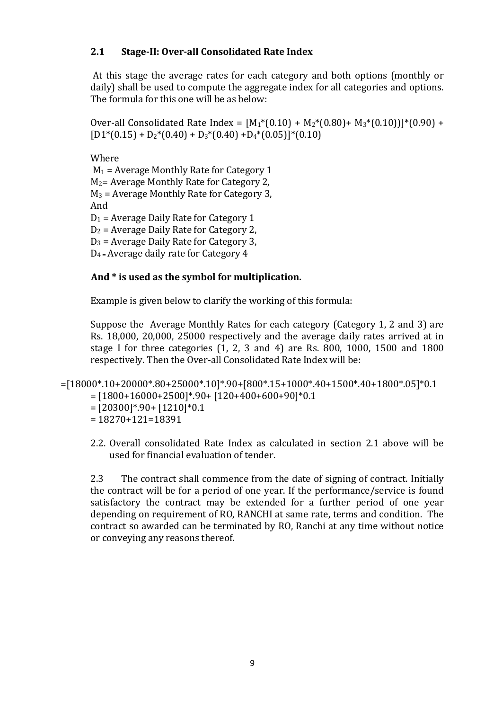#### **2.1 Stage-II: Over-all Consolidated Rate Index**

At this stage the average rates for each category and both options (monthly or daily) shall be used to compute the aggregate index for all categories and options. The formula for this one will be as below:

Over-all Consolidated Rate Index =  $[M_1*(0.10) + M_2*(0.80) + M_3*(0.10))]*(0.90) +$  $[D1*(0.15) + D_2*(0.40) + D_3*(0.40) + D_4*(0.05)]*(0.10)$ 

Where

 $M_1$  = Average Monthly Rate for Category 1 M2= Average Monthly Rate for Category 2,  $M_3$  = Average Monthly Rate for Category 3, And  $D_1$  = Average Daily Rate for Category 1  $D_2$  = Average Daily Rate for Category 2,  $D_3$  = Average Daily Rate for Category 3, D4 = Average daily rate for Category 4

#### **And \* is used as the symbol for multiplication.**

Example is given below to clarify the working of this formula:

Suppose the Average Monthly Rates for each category (Category 1, 2 and 3) are Rs. 18,000, 20,000, 25000 respectively and the average daily rates arrived at in stage I for three categories (1, 2, 3 and 4) are Rs. 800, 1000, 1500 and 1800 respectively. Then the Over-all Consolidated Rate Index will be:

```
=[18000*.10+20000*.80+25000*.10]*.90+[800*.15+1000*.40+1500*.40+1800*.05]*0.1
=[1800+16000+2500]*90+[120+400+600+90]*0.1
```
- $=[20300]*90+[1210]*0.1$
- $= 18270 + 121 = 18391$
- 2.2. Overall consolidated Rate Index as calculated in section 2.1 above will be used for financial evaluation of tender.

2.3 The contract shall commence from the date of signing of contract. Initially the contract will be for a period of one year. If the performance/service is found satisfactory the contract may be extended for a further period of one year depending on requirement of RO, RANCHI at same rate, terms and condition. The contract so awarded can be terminated by RO, Ranchi at any time without notice or conveying any reasons thereof.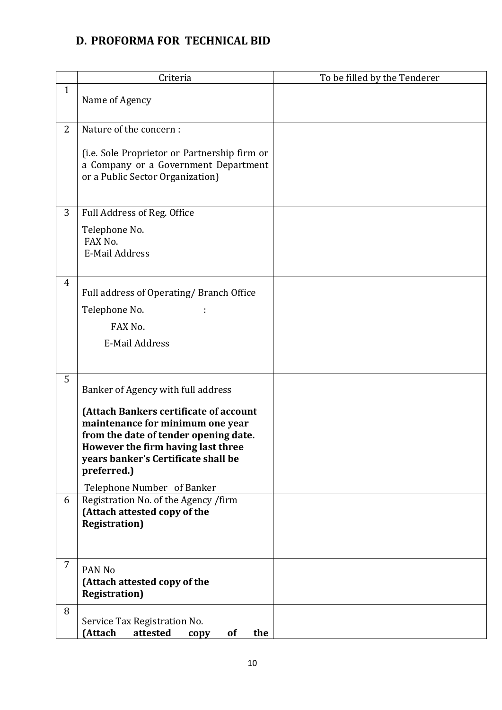## **D. PROFORMA FOR TECHNICAL BID**

|                | Criteria                                                                                                                                                                                                                                      | To be filled by the Tenderer |
|----------------|-----------------------------------------------------------------------------------------------------------------------------------------------------------------------------------------------------------------------------------------------|------------------------------|
| $\mathbf{1}$   | Name of Agency                                                                                                                                                                                                                                |                              |
| $\overline{2}$ | Nature of the concern :                                                                                                                                                                                                                       |                              |
|                | (i.e. Sole Proprietor or Partnership firm or<br>a Company or a Government Department<br>or a Public Sector Organization)                                                                                                                      |                              |
| 3              | Full Address of Reg. Office                                                                                                                                                                                                                   |                              |
|                | Telephone No.<br>FAX No.<br><b>E-Mail Address</b>                                                                                                                                                                                             |                              |
| $\overline{4}$ |                                                                                                                                                                                                                                               |                              |
|                | Full address of Operating/Branch Office<br>Telephone No.                                                                                                                                                                                      |                              |
|                | FAX No.                                                                                                                                                                                                                                       |                              |
|                | <b>E-Mail Address</b>                                                                                                                                                                                                                         |                              |
|                |                                                                                                                                                                                                                                               |                              |
| 5              | Banker of Agency with full address                                                                                                                                                                                                            |                              |
|                | (Attach Bankers certificate of account<br>maintenance for minimum one year<br>from the date of tender opening date.<br>However the firm having last three<br>years banker's Certificate shall be<br>preferred.)<br>Telephone Number of Banker |                              |
| 6              | Registration No. of the Agency /firm<br>(Attach attested copy of the<br><b>Registration</b> )                                                                                                                                                 |                              |
| $\overline{7}$ | PAN <sub>No</sub><br>(Attach attested copy of the<br><b>Registration</b> )                                                                                                                                                                    |                              |
| 8              | Service Tax Registration No.<br>(Attach<br>attested<br>the<br>of<br>copy                                                                                                                                                                      |                              |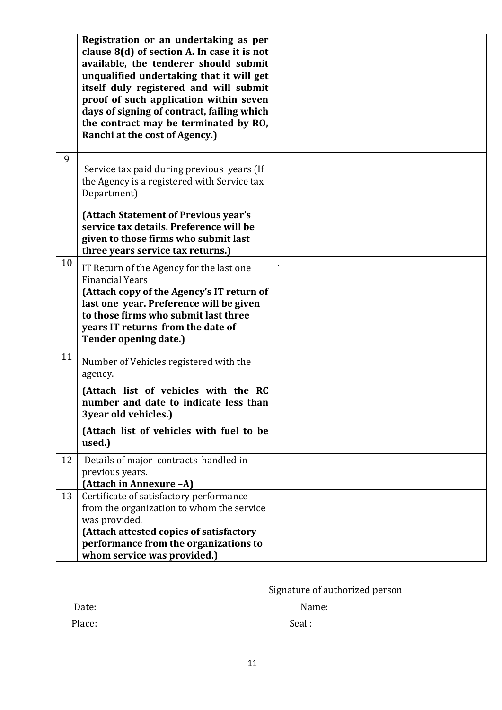|    | Registration or an undertaking as per<br>clause $8(d)$ of section A. In case it is not<br>available, the tenderer should submit<br>unqualified undertaking that it will get<br>itself duly registered and will submit<br>proof of such application within seven<br>days of signing of contract, failing which<br>the contract may be terminated by RO,<br>Ranchi at the cost of Agency.) |  |
|----|------------------------------------------------------------------------------------------------------------------------------------------------------------------------------------------------------------------------------------------------------------------------------------------------------------------------------------------------------------------------------------------|--|
| 9  | Service tax paid during previous years (If<br>the Agency is a registered with Service tax<br>Department)                                                                                                                                                                                                                                                                                 |  |
|    | (Attach Statement of Previous year's<br>service tax details. Preference will be<br>given to those firms who submit last<br>three years service tax returns.)                                                                                                                                                                                                                             |  |
| 10 | IT Return of the Agency for the last one<br><b>Financial Years</b><br>(Attach copy of the Agency's IT return of<br>last one year. Preference will be given<br>to those firms who submit last three<br>years IT returns from the date of<br>Tender opening date.)                                                                                                                         |  |
| 11 | Number of Vehicles registered with the<br>agency.                                                                                                                                                                                                                                                                                                                                        |  |
|    | (Attach list of vehicles with the RC<br>number and date to indicate less than<br>3year old vehicles.)                                                                                                                                                                                                                                                                                    |  |
|    | (Attach list of vehicles with fuel to be<br>used.)                                                                                                                                                                                                                                                                                                                                       |  |
| 12 | Details of major contracts handled in<br>previous years.<br>(Attach in Annexure -A)                                                                                                                                                                                                                                                                                                      |  |
| 13 | Certificate of satisfactory performance<br>from the organization to whom the service<br>was provided.<br>(Attach attested copies of satisfactory                                                                                                                                                                                                                                         |  |
|    | performance from the organizations to<br>whom service was provided.)                                                                                                                                                                                                                                                                                                                     |  |

Signature of authorized person

Date: Name:

Place: Seal : Seal : Seal : Seal : Seal : Seal : Seal : Seal : Seal : Seal : Seal : Seal : Seal : Seal : Seal : Seal : Seal : Seal : Seal : Seal : Seal : Seal : Seal : Seal : Seal : Seal : Seal : Seal : Seal : Seal : Seal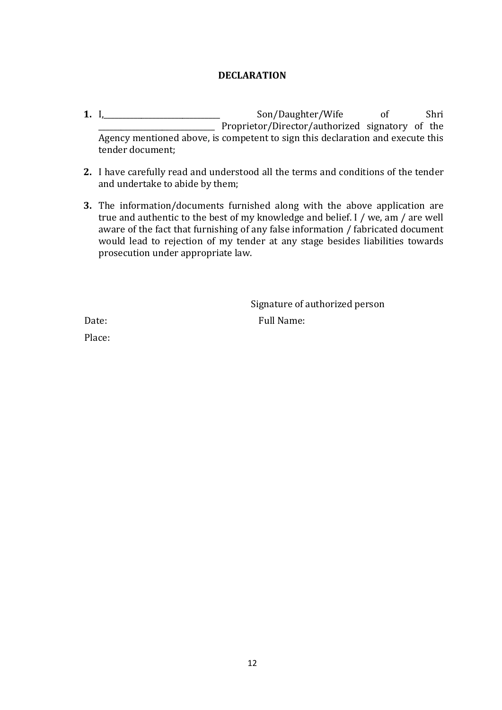#### **DECLARATION**

- **1.** I,\_\_\_\_\_\_\_\_\_\_\_\_\_\_\_\_\_\_\_\_\_\_\_\_\_\_\_\_\_\_\_ Son/Daughter/Wife of Shri Proprietor/Director/authorized signatory of the Agency mentioned above, is competent to sign this declaration and execute this tender document;
- **2.** I have carefully read and understood all the terms and conditions of the tender and undertake to abide by them;
- **3.** The information/documents furnished along with the above application are true and authentic to the best of my knowledge and belief. I / we, am / are well aware of the fact that furnishing of any false information / fabricated document would lead to rejection of my tender at any stage besides liabilities towards prosecution under appropriate law.

 Signature of authorized person Date: Full Name:

Place: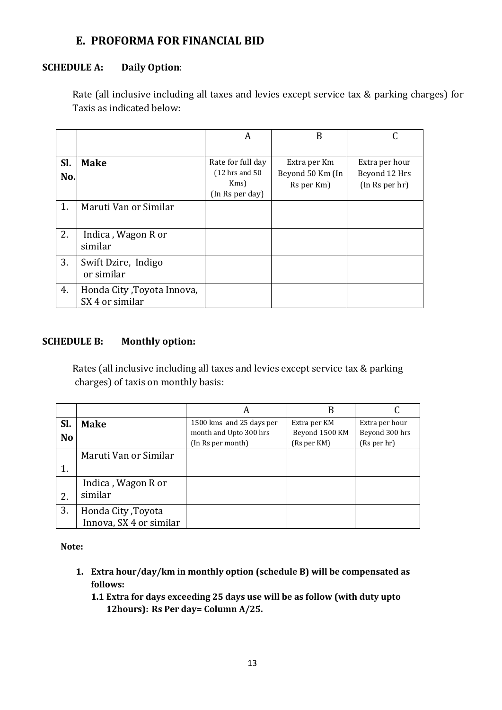## **E. PROFORMA FOR FINANCIAL BID**

#### **SCHEDULE A: Daily Option**:

Rate (all inclusive including all taxes and levies except service tax & parking charges) for Taxis as indicated below:

|            |                                                | A                                                                  | B                                              |                                                   |
|------------|------------------------------------------------|--------------------------------------------------------------------|------------------------------------------------|---------------------------------------------------|
| Sl.<br>No. | <b>Make</b>                                    | Rate for full day<br>$(12$ hrs and $50$<br>Kms)<br>(In Rs per day) | Extra per Km<br>Beyond 50 Km (In<br>Rs per Km) | Extra per hour<br>Beyond 12 Hrs<br>(In Rs per hr) |
| 1.         | Maruti Van or Similar                          |                                                                    |                                                |                                                   |
| 2.         | Indica, Wagon R or<br>similar                  |                                                                    |                                                |                                                   |
| 3.         | Swift Dzire, Indigo<br>or similar              |                                                                    |                                                |                                                   |
| 4.         | Honda City , Toyota Innova,<br>SX 4 or similar |                                                                    |                                                |                                                   |

#### **SCHEDULE B: Monthly option:**

Rates (all inclusive including all taxes and levies except service tax & parking charges) of taxis on monthly basis:

|                |                         | A                        | B              |                |
|----------------|-------------------------|--------------------------|----------------|----------------|
| Sl.            | <b>Make</b>             | 1500 kms and 25 days per | Extra per KM   | Extra per hour |
| N <sub>o</sub> |                         | month and Upto 300 hrs   | Beyond 1500 KM | Beyond 300 hrs |
|                |                         | (In Rs per month)        | (Rs per KM)    | (Rs per hr)    |
|                | Maruti Van or Similar   |                          |                |                |
|                |                         |                          |                |                |
|                | Indica, Wagon R or      |                          |                |                |
| 2.             | similar                 |                          |                |                |
| 3.             | Honda City, Toyota      |                          |                |                |
|                | Innova, SX 4 or similar |                          |                |                |

**Note:**

**1. Extra hour/day/km in monthly option (schedule B) will be compensated as follows:**

**1.1 Extra for days exceeding 25 days use will be as follow (with duty upto 12hours): Rs Per day= Column A/25.**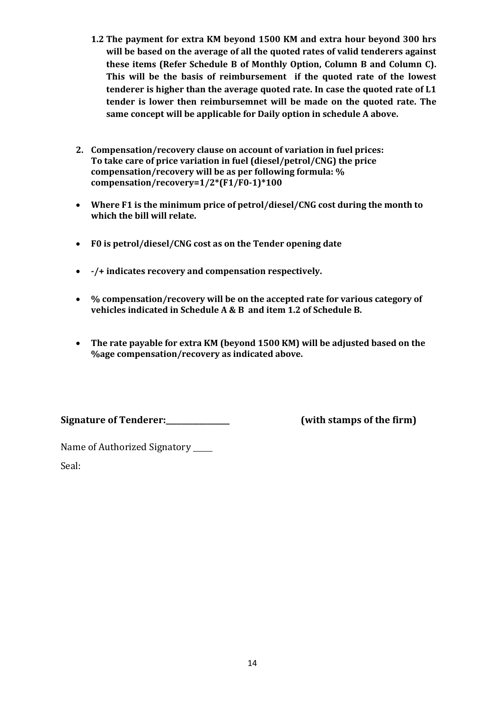- **1.2 The payment for extra KM beyond 1500 KM and extra hour beyond 300 hrs will be based on the average of all the quoted rates of valid tenderers against these items (Refer Schedule B of Monthly Option, Column B and Column C). This will be the basis of reimbursement if the quoted rate of the lowest tenderer is higher than the average quoted rate. In case the quoted rate of L1 tender is lower then reimbursemnet will be made on the quoted rate. The same concept will be applicable for Daily option in schedule A above.**
- **2. Compensation/recovery clause on account of variation in fuel prices: To take care of price variation in fuel (diesel/petrol/CNG) the price compensation/recovery will be as per following formula: % compensation/recovery=1/2\*(F1/F0-1)\*100**
- **Where F1 is the minimum price of petrol/diesel/CNG cost during the month to which the bill will relate.**
- **F0 is petrol/diesel/CNG cost as on the Tender opening date**
- **-/+ indicates recovery and compensation respectively.**
- **% compensation/recovery will be on the accepted rate for various category of vehicles indicated in Schedule A & B and item 1.2 of Schedule B.**
- **The rate payable for extra KM (beyond 1500 KM) will be adjusted based on the %age compensation/recovery as indicated above.**

Signature of Tenderer:  $\qquad \qquad$  (with stamps of the firm)

Name of Authorized Signatory

Seal: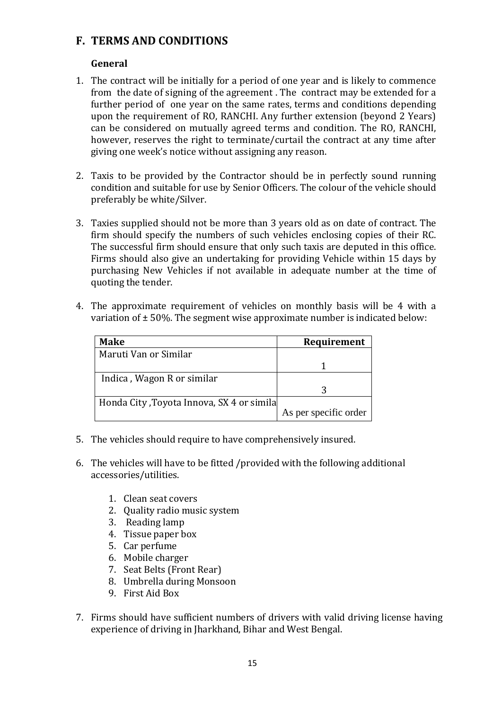## **F. TERMS AND CONDITIONS**

#### **General**

- 1. The contract will be initially for a period of one year and is likely to commence from the date of signing of the agreement . The contract may be extended for a further period of one year on the same rates, terms and conditions depending upon the requirement of RO, RANCHI. Any further extension (beyond 2 Years) can be considered on mutually agreed terms and condition. The RO, RANCHI, however, reserves the right to terminate/curtail the contract at any time after giving one week's notice without assigning any reason.
- 2. Taxis to be provided by the Contractor should be in perfectly sound running condition and suitable for use by Senior Officers. The colour of the vehicle should preferably be white/Silver.
- 3. Taxies supplied should not be more than 3 years old as on date of contract. The firm should specify the numbers of such vehicles enclosing copies of their RC. The successful firm should ensure that only such taxis are deputed in this office. Firms should also give an undertaking for providing Vehicle within 15 days by purchasing New Vehicles if not available in adequate number at the time of quoting the tender.
- 4. The approximate requirement of vehicles on monthly basis will be 4 with a variation of  $\pm$  50%. The segment wise approximate number is indicated below:

| <b>Make</b>                               | <b>Requirement</b>    |
|-------------------------------------------|-----------------------|
| Maruti Van or Similar                     |                       |
|                                           |                       |
| Indica, Wagon R or similar                |                       |
|                                           |                       |
| Honda City, Toyota Innova, SX 4 or simila |                       |
|                                           | As per specific order |

- 5. The vehicles should require to have comprehensively insured.
- 6. The vehicles will have to be fitted /provided with the following additional accessories/utilities.
	- 1. Clean seat covers
	- 2. Quality radio music system
	- 3. Reading lamp
	- 4. Tissue paper box
	- 5. Car perfume
	- 6. Mobile charger
	- 7. Seat Belts (Front Rear)
	- 8. Umbrella during Monsoon
	- 9. First Aid Box
- 7. Firms should have sufficient numbers of drivers with valid driving license having experience of driving in Jharkhand, Bihar and West Bengal.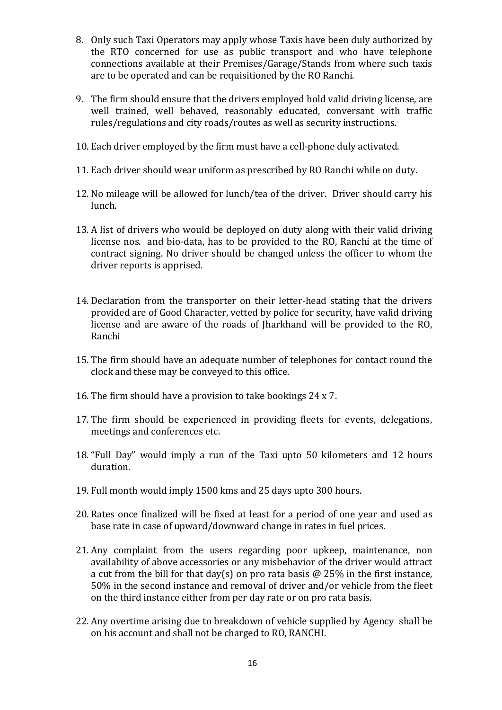- 8. Only such Taxi Operators may apply whose Taxis have been duly authorized by the RTO concerned for use as public transport and who have telephone connections available at their Premises/Garage/Stands from where such taxis are to be operated and can be requisitioned by the RO Ranchi.
- 9. The firm should ensure that the drivers employed hold valid driving license, are well trained, well behaved, reasonably educated, conversant with traffic rules/regulations and city roads/routes as well as security instructions.
- 10. Each driver employed by the firm must have a cell-phone duly activated.
- 11. Each driver should wear uniform as prescribed by RO Ranchi while on duty.
- 12. No mileage will be allowed for lunch/tea of the driver. Driver should carry his lunch.
- 13. A list of drivers who would be deployed on duty along with their valid driving license nos. and bio-data, has to be provided to the RO, Ranchi at the time of contract signing. No driver should be changed unless the officer to whom the driver reports is apprised.
- 14. Declaration from the transporter on their letter-head stating that the drivers provided are of Good Character, vetted by police for security, have valid driving license and are aware of the roads of Jharkhand will be provided to the RO, Ranchi
- 15. The firm should have an adequate number of telephones for contact round the clock and these may be conveyed to this office.
- 16. The firm should have a provision to take bookings 24 x 7.
- 17. The firm should be experienced in providing fleets for events, delegations, meetings and conferences etc.
- 18. "Full Day" would imply a run of the Taxi upto 50 kilometers and 12 hours duration.
- 19. Full month would imply 1500 kms and 25 days upto 300 hours.
- 20. Rates once finalized will be fixed at least for a period of one year and used as base rate in case of upward/downward change in rates in fuel prices.
- 21. Any complaint from the users regarding poor upkeep, maintenance, non availability of above accessories or any misbehavior of the driver would attract a cut from the bill for that day(s) on pro rata basis  $\omega$  25% in the first instance, 50% in the second instance and removal of driver and/or vehicle from the fleet on the third instance either from per day rate or on pro rata basis.
- 22. Any overtime arising due to breakdown of vehicle supplied by Agency shall be on his account and shall not be charged to RO, RANCHI.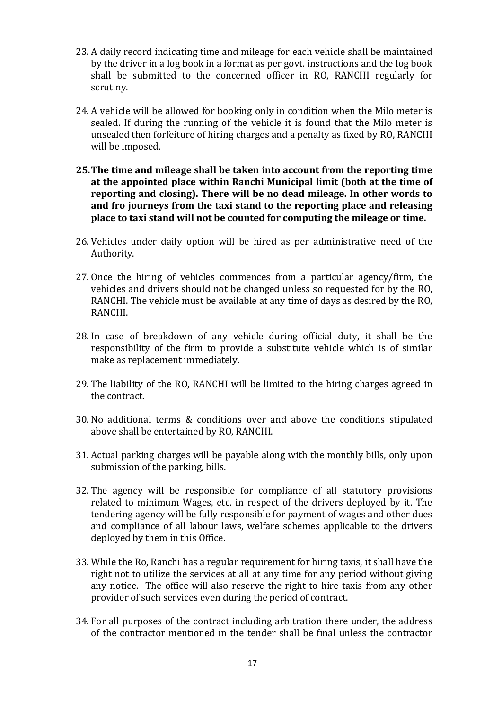- 23. A daily record indicating time and mileage for each vehicle shall be maintained by the driver in a log book in a format as per govt. instructions and the log book shall be submitted to the concerned officer in RO, RANCHI regularly for scrutiny.
- 24. A vehicle will be allowed for booking only in condition when the Milo meter is sealed. If during the running of the vehicle it is found that the Milo meter is unsealed then forfeiture of hiring charges and a penalty as fixed by RO, RANCHI will be imposed.
- **25.The time and mileage shall be taken into account from the reporting time at the appointed place within Ranchi Municipal limit (both at the time of reporting and closing). There will be no dead mileage. In other words to and fro journeys from the taxi stand to the reporting place and releasing place to taxi stand will not be counted for computing the mileage or time.**
- 26. Vehicles under daily option will be hired as per administrative need of the Authority.
- 27. Once the hiring of vehicles commences from a particular agency/firm, the vehicles and drivers should not be changed unless so requested for by the RO, RANCHI. The vehicle must be available at any time of days as desired by the RO, RANCHI.
- 28. In case of breakdown of any vehicle during official duty, it shall be the responsibility of the firm to provide a substitute vehicle which is of similar make as replacement immediately.
- 29. The liability of the RO, RANCHI will be limited to the hiring charges agreed in the contract.
- 30. No additional terms & conditions over and above the conditions stipulated above shall be entertained by RO, RANCHI.
- 31. Actual parking charges will be payable along with the monthly bills, only upon submission of the parking, bills.
- 32. The agency will be responsible for compliance of all statutory provisions related to minimum Wages, etc. in respect of the drivers deployed by it. The tendering agency will be fully responsible for payment of wages and other dues and compliance of all labour laws, welfare schemes applicable to the drivers deployed by them in this Office.
- 33. While the Ro, Ranchi has a regular requirement for hiring taxis, it shall have the right not to utilize the services at all at any time for any period without giving any notice. The office will also reserve the right to hire taxis from any other provider of such services even during the period of contract.
- 34. For all purposes of the contract including arbitration there under, the address of the contractor mentioned in the tender shall be final unless the contractor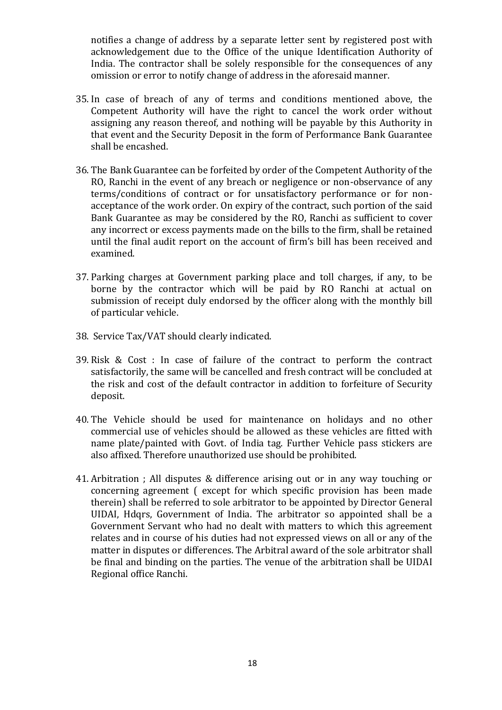notifies a change of address by a separate letter sent by registered post with acknowledgement due to the Office of the unique Identification Authority of India. The contractor shall be solely responsible for the consequences of any omission or error to notify change of address in the aforesaid manner.

- 35. In case of breach of any of terms and conditions mentioned above, the Competent Authority will have the right to cancel the work order without assigning any reason thereof, and nothing will be payable by this Authority in that event and the Security Deposit in the form of Performance Bank Guarantee shall be encashed.
- 36. The Bank Guarantee can be forfeited by order of the Competent Authority of the RO, Ranchi in the event of any breach or negligence or non-observance of any terms/conditions of contract or for unsatisfactory performance or for nonacceptance of the work order. On expiry of the contract, such portion of the said Bank Guarantee as may be considered by the RO, Ranchi as sufficient to cover any incorrect or excess payments made on the bills to the firm, shall be retained until the final audit report on the account of firm's bill has been received and examined.
- 37. Parking charges at Government parking place and toll charges, if any, to be borne by the contractor which will be paid by RO Ranchi at actual on submission of receipt duly endorsed by the officer along with the monthly bill of particular vehicle.
- 38. Service Tax/VAT should clearly indicated.
- 39. Risk & Cost : In case of failure of the contract to perform the contract satisfactorily, the same will be cancelled and fresh contract will be concluded at the risk and cost of the default contractor in addition to forfeiture of Security deposit.
- 40. The Vehicle should be used for maintenance on holidays and no other commercial use of vehicles should be allowed as these vehicles are fitted with name plate/painted with Govt. of India tag. Further Vehicle pass stickers are also affixed. Therefore unauthorized use should be prohibited.
- 41. Arbitration ; All disputes & difference arising out or in any way touching or concerning agreement ( except for which specific provision has been made therein) shall be referred to sole arbitrator to be appointed by Director General UIDAI, Hdqrs, Government of India. The arbitrator so appointed shall be a Government Servant who had no dealt with matters to which this agreement relates and in course of his duties had not expressed views on all or any of the matter in disputes or differences. The Arbitral award of the sole arbitrator shall be final and binding on the parties. The venue of the arbitration shall be UIDAI Regional office Ranchi.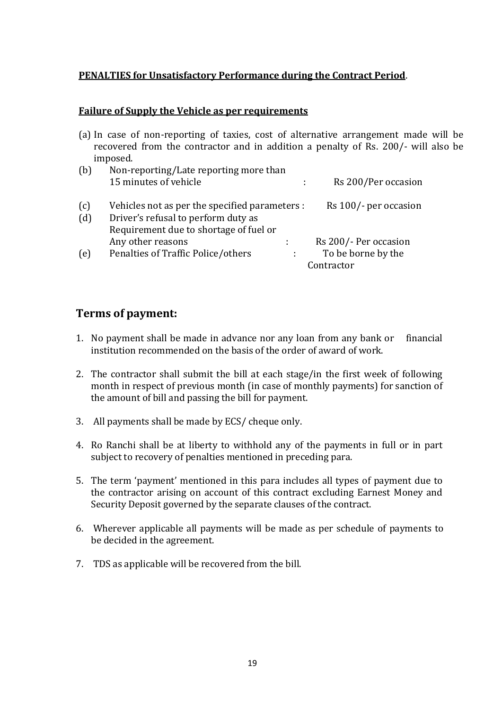#### **PENALTIES for Unsatisfactory Performance during the Contract Period**.

#### **Failure of Supply the Vehicle as per requirements**

(a) In case of non-reporting of taxies, cost of alternative arrangement made will be recovered from the contractor and in addition a penalty of Rs. 200/- will also be imposed.

| (b) | Non-reporting/Late reporting more than         |                       |
|-----|------------------------------------------------|-----------------------|
|     | 15 minutes of vehicle                          | Rs 200/Per occasion   |
| (c) | Vehicles not as per the specified parameters : | Rs 100/- per occasion |
| (d) | Driver's refusal to perform duty as            |                       |
|     | Requirement due to shortage of fuel or         |                       |
|     | Any other reasons                              | Rs 200/- Per occasion |
| (e) | Penalties of Traffic Police/others             | To be borne by the    |
|     |                                                | Contractor            |

#### **Terms of payment:**

- 1. No payment shall be made in advance nor any loan from any bank or financial institution recommended on the basis of the order of award of work.
- 2. The contractor shall submit the bill at each stage/in the first week of following month in respect of previous month (in case of monthly payments) for sanction of the amount of bill and passing the bill for payment.
- 3. All payments shall be made by ECS/ cheque only.
- 4. Ro Ranchi shall be at liberty to withhold any of the payments in full or in part subject to recovery of penalties mentioned in preceding para.
- 5. The term 'payment' mentioned in this para includes all types of payment due to the contractor arising on account of this contract excluding Earnest Money and Security Deposit governed by the separate clauses of the contract.
- 6. Wherever applicable all payments will be made as per schedule of payments to be decided in the agreement.
- 7. TDS as applicable will be recovered from the bill.